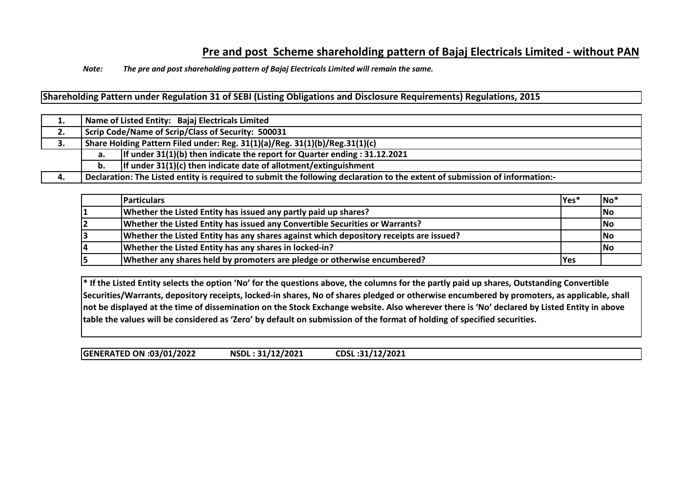# **Pre and post Scheme shareholding pattern of Bajaj Electricals Limited - without PAN**

*Note: The pre and post shareholding pattern of Bajaj Electricals Limited will remain the same.*

**Shareholding Pattern under Regulation 31 of SEBI (Listing Obligations and Disclosure Requirements) Regulations, 2015**

|    |    | Name of Listed Entity: Bajaj Electricals Limited                                                                            |  |  |  |  |  |  |  |  |  |  |  |
|----|----|-----------------------------------------------------------------------------------------------------------------------------|--|--|--|--|--|--|--|--|--|--|--|
| 2. |    | Scrip Code/Name of Scrip/Class of Security: 500031                                                                          |  |  |  |  |  |  |  |  |  |  |  |
| J. |    | Share Holding Pattern Filed under: Reg. 31(1)(a)/Reg. 31(1)(b)/Reg.31(1)(c)                                                 |  |  |  |  |  |  |  |  |  |  |  |
|    | а. | If under $31(1)(b)$ then indicate the report for Quarter ending : 31.12.2021                                                |  |  |  |  |  |  |  |  |  |  |  |
|    | b. | If under $31(1)(c)$ then indicate date of allotment/extinguishment                                                          |  |  |  |  |  |  |  |  |  |  |  |
| 4. |    | Declaration: The Listed entity is required to submit the following declaration to the extent of submission of information:- |  |  |  |  |  |  |  |  |  |  |  |

| <b>Particulars</b>                                                                     | Yes*       | $\overline{\mathsf{No}}^*$ |
|----------------------------------------------------------------------------------------|------------|----------------------------|
| Whether the Listed Entity has issued any partly paid up shares?                        |            | <b>No</b>                  |
| Whether the Listed Entity has issued any Convertible Securities or Warrants?           |            | <b>No</b>                  |
| Whether the Listed Entity has any shares against which depository receipts are issued? |            | No                         |
| Whether the Listed Entity has any shares in locked-in?                                 |            | No                         |
| Whether any shares held by promoters are pledge or otherwise encumbered?               | <b>Yes</b> |                            |

**\* If the Listed Entity selects the option 'No' for the questions above, the columns for the partly paid up shares, Outstanding Convertible Securities/Warrants, depository receipts, locked-in shares, No of shares pledged or otherwise encumbered by promoters, as applicable, shall not be displayed at the time of dissemination on the Stock Exchange website. Also wherever there is 'No' declared by Listed Entity in above table the values will be considered as 'Zero' by default on submission of the format of holding of specified securities.**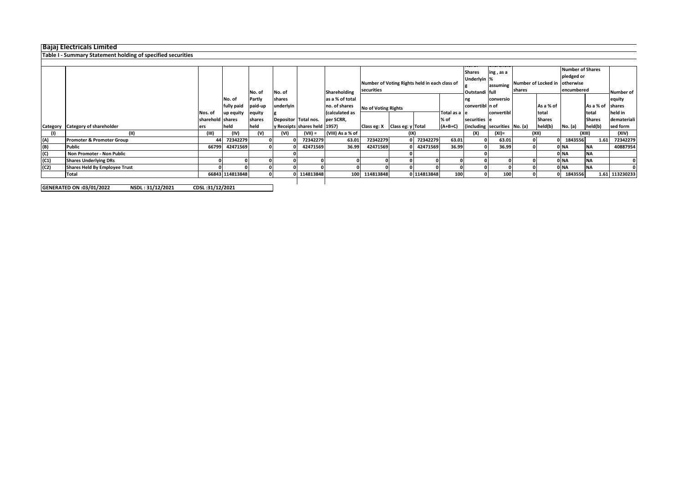# **Bajaj Electricals Limited**

## **Table I - Summary Statement holding of specified securities**

|      |                                      |                  |                 | No. of  | No. of               | Shareholding                  |                  | Number of Voting Rights held in each class of<br>securities |                            |             |               | <b>Shares</b><br>ing, as a<br>Underlyin %<br>assuming<br>Outstandi full |                               | Number of Locked in Lotherwise<br>shares |               | <b>Number of Shares</b><br>pledged or<br>encumbered | Number of        |                |
|------|--------------------------------------|------------------|-----------------|---------|----------------------|-------------------------------|------------------|-------------------------------------------------------------|----------------------------|-------------|---------------|-------------------------------------------------------------------------|-------------------------------|------------------------------------------|---------------|-----------------------------------------------------|------------------|----------------|
|      |                                      |                  | No. of          | Partly  | shares               |                               | as a % of total  |                                                             |                            |             |               | ng                                                                      | conversio                     |                                          |               |                                                     |                  | equity         |
|      |                                      |                  | fully paid      | paid-up | underlyin            |                               | no. of shares    |                                                             | <b>No of Voting Rights</b> |             |               | convertibl in of                                                        |                               |                                          | As a % of     |                                                     | As a % of shares |                |
|      |                                      | Nos. of          | up equity       | equity  |                      |                               | (calculated as   |                                                             |                            |             | Total as a le |                                                                         | convertibl                    |                                          | total         |                                                     | total            | held in        |
|      |                                      | sharehold shares |                 | shares  | Depositor Total nos. |                               | per SCRR,        |                                                             |                            |             | % of          | securities e                                                            |                               |                                          | <b>Shares</b> |                                                     | <b>Shares</b>    | demateriali    |
|      | Category Category of shareholder     | ers              | held            | held    |                      | y Receipts shares held [1957] |                  | Class eg: X Class eg: y Total                               |                            |             | $(A+B+C)$     |                                                                         | (including securities No. (a) |                                          | held(b)       | No. (a)                                             | held(b)          | sed form       |
|      | (11)                                 | (III)            | (IV)            | (V)     | (VI)                 | $(VII) =$                     | (VIII) As a % of |                                                             | (IX)                       |             |               | (X)                                                                     | (XI)=                         |                                          | (XII)         |                                                     | (XIII)           | (XIV)          |
| (A)  | <b>Promoter &amp; Promoter Group</b> | 44               | 72342279        |         |                      | 72342279                      | 63.01            | 72342279                                                    |                            | 72342279    | 63.01         |                                                                         | 63.01                         |                                          |               | 1843556                                             | 1.61             | 72342279       |
| (B)  | <b>Public</b>                        | 66799            | 42471569        |         |                      | 42471569                      | 36.99            | 42471569                                                    |                            | 42471569    | 36.99         |                                                                         | 36.99                         |                                          |               | 0 NA                                                | <b>NA</b>        | 40887954       |
| (C)  | Non Promoter - Non Public            |                  |                 |         |                      |                               |                  |                                                             |                            |             |               |                                                                         |                               |                                          |               | 0 NA                                                | <b>NA</b>        |                |
| (C1) | <b>Shares Underlying DRs</b>         |                  |                 |         |                      |                               |                  |                                                             |                            |             |               |                                                                         |                               |                                          |               | 0 NA                                                | <b>NA</b>        |                |
| (C2) | <b>Shares Held By Employee Trust</b> |                  |                 |         |                      |                               |                  |                                                             |                            |             |               |                                                                         |                               |                                          |               | 0 NA                                                | <b>NA</b>        |                |
|      | Total                                |                  | 66843 114813848 |         |                      | 0 114813848                   |                  | 100 114813848                                               |                            | 0 114813848 | 100           |                                                                         | 100                           | 01                                       |               | 1843556                                             |                  | 1.61 113230233 |
|      |                                      |                  |                 |         |                      |                               |                  |                                                             |                            |             |               |                                                                         |                               |                                          |               |                                                     |                  |                |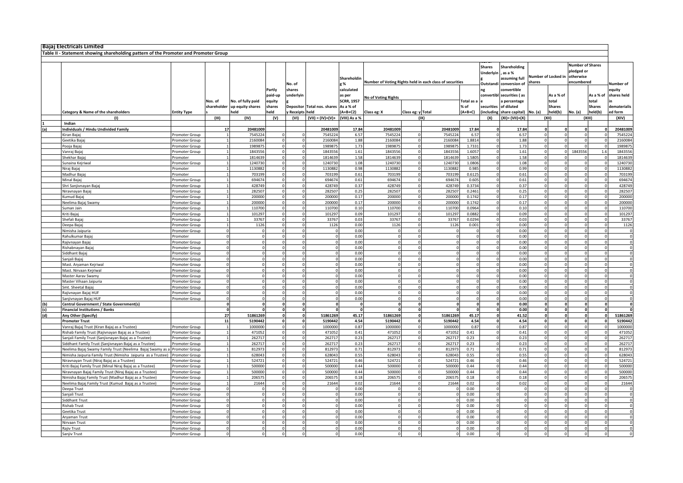| <b>Bajaj Electricals Limited</b>                                                                                            |                                  |             |                    |                         |                  |                     |                   |                                                          |                   |                      |                      |                            |                                           |          |                               |         |                                                           |                            |
|-----------------------------------------------------------------------------------------------------------------------------|----------------------------------|-------------|--------------------|-------------------------|------------------|---------------------|-------------------|----------------------------------------------------------|-------------------|----------------------|----------------------|----------------------------|-------------------------------------------|----------|-------------------------------|---------|-----------------------------------------------------------|----------------------------|
| Table II - Statement showing shareholding pattern of the Promoter and Promoter Group                                        |                                  |             |                    |                         |                  |                     |                   |                                                          |                   |                      |                      |                            |                                           |          |                               |         |                                                           |                            |
|                                                                                                                             |                                  |             |                    |                         |                  |                     |                   |                                                          |                   |                      |                      |                            |                                           |          |                               |         |                                                           |                            |
|                                                                                                                             |                                  |             |                    |                         |                  |                     | Shareholdi        | Number of Voting Rights held in each class of securities |                   |                      |                      | <b>Shares</b><br>Underlyin | Shareholding<br>, as a %<br>assuming full |          | Number of Locked in<br>shares |         | Number of Shares<br>pledged or<br>otherwise<br>encumbered |                            |
|                                                                                                                             |                                  |             |                    | Partly                  | No. of<br>shares |                     | e %<br>calculated |                                                          |                   |                      |                      | Outstandi<br>ng            | conversion of<br>convertible              |          |                               |         |                                                           | <b>Number</b> of<br>equity |
|                                                                                                                             |                                  |             |                    | paid-up                 | underlyin        |                     | as per            |                                                          |                   |                      |                      |                            | convertibl securities (as                 |          | As a % of                     |         | As a % of                                                 | shares held                |
|                                                                                                                             |                                  | Nos. of     | No. of fully paid  | equity                  |                  |                     | <b>SCRR, 1957</b> | No of Voting Rights                                      |                   |                      | Total as a           |                            | a percentage                              |          | total                         |         | total                                                     |                            |
|                                                                                                                             |                                  | shareholder | up equity shares   | shares                  | <b>Depositor</b> | Total nos. shares   | As a % of         |                                                          |                   |                      | % of                 | securities                 | of diluted                                |          | <b>Shares</b>                 |         | <b>Shares</b>                                             | dematerialis               |
| Category & Name of the shareholders                                                                                         | <b>Entity Type</b>               |             | held               | eld                     | <b>Receipts</b>  | held                | $(A+B+C2)$        | Class eg: X                                              | Class eg: y Total |                      | (A+B+C)              | including                  | share capital)                            | No. (a)  | held(b)                       | No. (a) | held(b)                                                   | d form                     |
| (1)<br>Indian                                                                                                               |                                  | (III)       | (IV)               | (V)                     | (VI)             | $(VII) = (IV)+(V)+$ | (VIII) As a %     |                                                          |                   | (IX)                 |                      | (X)                        | $(XI) = (VII)+(X)$                        |          | (XII)                         |         | (XIII)                                                    | (XIV)                      |
| Individuals / Hindu Undivided Family                                                                                        |                                  | 17          | 20481009           |                         |                  | 2048100             | 17.84             | 20481009                                                 |                   | 20481009             | 17.84                |                            | 17.84                                     |          |                               |         |                                                           | 20481009                   |
| Kiran Baja                                                                                                                  | Promoter Group                   |             | 754522             |                         |                  | 754522              | 6.57              | 7545224                                                  |                   | 7545224              | 6.57                 |                            | 6.57                                      |          |                               |         |                                                           | 7545224                    |
| Geetika Baja                                                                                                                | Promoter Group                   |             | 216008             |                         |                  | 2160084             | 1.88              | 2160084                                                  |                   | 2160084              | 1.8814               |                            | 1.88                                      |          |                               |         |                                                           | 2160084                    |
| Pooja Bajaj<br>Vanraj Bajaj                                                                                                 | romoter Group<br>Promoter Group  |             | 198987<br>184355   |                         |                  | 198987<br>184355    | 1.73<br>1.61      | 1989875<br>1843556                                       |                   | 198987<br>1843556    | 1.7331<br>1.6057     |                            | 1.73<br>1.61                              | $\Omega$ |                               | 1843556 | 1.6                                                       | 1989875<br>1843556         |
| Shekhar Baiai                                                                                                               | Promoter                         |             | 1814639            | $\Omega$                |                  | 1814639             | 1.58              | 1814639                                                  |                   | 1814639              | 1.5805               |                            | 1.58                                      |          |                               |         |                                                           | 1814639                    |
| Sunaina Kejriwal                                                                                                            | Promoter Group                   |             | 1240730            |                         |                  | 1240730             | 1.08              | 1240730                                                  |                   | 1240730              | 1.0806               |                            | 1.08                                      |          |                               |         |                                                           | 1240730                    |
| Niraj Bajaj                                                                                                                 | Promoter                         |             | 1130882            |                         | $\Omega$         | 1130882             | 0.98              | 1130882                                                  |                   | 1130882              | 0.985                | $\Omega$                   | 0.99                                      |          |                               |         |                                                           | 1130882                    |
| Madhur Bajaj                                                                                                                | Promoter                         |             | 703199             |                         |                  | 703199              | 0.61              | 703199                                                   |                   | 703199               | 0.6125               |                            | 0.61                                      |          |                               |         |                                                           | 703199                     |
| Minal Baiai                                                                                                                 | Promoter Group                   |             | 694674<br>428749   |                         |                  | 694674<br>428749    | 0.61<br>0.37      | 694674<br>428749                                         | $\Omega$          | 694674<br>428749     | 0.605<br>0.3734      |                            | 0.61<br>0.37                              | $\Omega$ |                               |         | $\Omega$                                                  | 694674<br>428749           |
| Shri Sanjivnayan Bajaj<br>Niravnayan Baja                                                                                   | romoter Group<br>Promoter Group  |             | 282507             |                         |                  | 282507              | 0.25              | 282507                                                   |                   | 282507               | 0.2461               |                            | 0.25                                      |          |                               |         |                                                           | 282507                     |
| Kumud Bajaj                                                                                                                 | Promoter Group                   |             | 200000             | $\Omega$                |                  | 200000              | 0.17              | 200000                                                   |                   | 200000               | 0.1742               |                            | 0.17                                      |          |                               |         |                                                           | 200000                     |
| Neelima Bajaj Swamy                                                                                                         | Promoter Group                   |             | 200000             | $\Omega$                |                  | 200000              | 0.17              | 200000                                                   |                   | 200000               | 0.1742               |                            | 0.17                                      |          |                               |         |                                                           | 200000                     |
| Suman Jain                                                                                                                  | Promoter Group                   |             | 110700             | $\Omega$                | $\Omega$         | 110700              | 0.10              | 110700                                                   |                   | 110700               | 0.0964               | $\Omega$                   | 0.10                                      | $\Omega$ |                               |         |                                                           | 110700                     |
| Kriti Bajaj<br>Shefali Baia                                                                                                 | Promoter Group                   |             | 101297<br>33767    |                         |                  | 101297<br>33767     | 0.09<br>0.03      | 101297<br>33767                                          | $\Omega$          | 101297<br>33767      | 0.0882<br>0.0294     |                            | 0.09<br>0.03                              |          |                               |         | $\Omega$                                                  | 101297<br>33767            |
| Jeepa Baia                                                                                                                  | Promoter Group<br>romoter Group  |             | 1126               |                         |                  | 1126                | 0.00              | 1126                                                     |                   | 1126                 | 0.001                |                            | 0.00                                      |          |                               |         |                                                           | 1126                       |
| Nimisha Jaipuria                                                                                                            | Promoter Group                   |             |                    |                         |                  |                     | 0.00              |                                                          |                   |                      |                      |                            | 0.00                                      |          |                               |         |                                                           | $\mathsf 0$                |
| Rahulkumar Bajaj                                                                                                            | romoter                          |             |                    |                         |                  |                     | 0.00              |                                                          |                   |                      |                      |                            | 0.00                                      |          |                               |         |                                                           | $\mathsf 0$                |
| Rajivnayan Bajaj                                                                                                            | Promoter Group                   |             |                    |                         |                  |                     | 0.00              |                                                          |                   |                      | $\Omega$             |                            | 0.00                                      |          |                               |         |                                                           | $\mathsf 0$                |
| Rishabnayan Bajaj                                                                                                           | Promoter Group                   |             |                    |                         |                  |                     | 0.00              |                                                          |                   |                      | $\Omega$             |                            | 0.00                                      | $\Omega$ |                               |         |                                                           | $\mathbf 0$                |
| Siddhant Bajaj<br>Sanjali Bajaj                                                                                             | Promoter Group<br>romoter Group  |             |                    |                         |                  |                     | 0.00<br>0.00      | $\Omega$                                                 |                   | $\Omega$             | $\Omega$             |                            | 0.00<br>0.00                              |          |                               |         | $\Omega$                                                  | $\mathbf 0$<br>$\Omega$    |
| Mast. Aryaman Kejriwal                                                                                                      | romoter Group                    |             |                    |                         |                  |                     | 0.00              | $\Omega$                                                 | $\Omega$          |                      | $\Omega$             |                            | 0.00                                      | $\Omega$ |                               |         | $\Omega$                                                  | $\Omega$                   |
| Mast. Nirvaan Kejriwal                                                                                                      | romoter Group                    |             |                    |                         |                  |                     | 0.00              |                                                          |                   |                      | $\Omega$             |                            | 0.00                                      | $\Omega$ |                               |         |                                                           | $\mathsf 0$                |
| Master Aarav Swamy                                                                                                          | romoter Group                    |             |                    |                         |                  |                     | 0.00              |                                                          |                   |                      |                      |                            | 0.00                                      |          |                               |         |                                                           | $\Omega$                   |
| Master Vihaan Jaipuria                                                                                                      | Promoter Group                   |             |                    |                         |                  |                     | 0.00              |                                                          |                   |                      | $\Omega$             |                            | 0.00                                      |          |                               |         |                                                           | $\mathsf 0$                |
| Smt. Sheetal Bajaj<br>Rajivnayan Bajaj HUF                                                                                  | Promoter Group<br>Promoter Group |             |                    | $\Omega$                |                  |                     | 0.00<br>0.00      |                                                          |                   | $\Omega$<br>$\Omega$ | $\Omega$<br>$\Omega$ |                            | 0.00<br>0.00                              | $\Omega$ |                               |         |                                                           | $\mathbf 0$<br>0           |
| Sanjivnayan Bajaj HUF                                                                                                       | Promoter Group                   |             |                    | $\Omega$                |                  |                     | 0.00              |                                                          | $\Omega$          | $\Omega$             | $\Omega$             |                            | 0.00                                      |          |                               |         |                                                           | $\Omega$                   |
| Central Government / State Government(s)                                                                                    |                                  |             |                    |                         |                  |                     | $\Omega$          |                                                          |                   | $\Omega$             |                      |                            | 0.00                                      |          |                               |         | $\Omega$                                                  | $\mathbf{0}$               |
| <b>Financial Institutions / Banks</b>                                                                                       |                                  |             |                    | $\Omega$                | $\mathbf 0$      |                     | $\Omega$          |                                                          | $\mathbf{0}$      |                      | $\Omega$             |                            | 0.00                                      |          |                               |         |                                                           | $\Omega$                   |
| Any Other (Specify)                                                                                                         |                                  | 27          | 51861269           |                         |                  | 51861269            | 45.17             | 51861269                                                 |                   | 51861269             | 45.17                |                            | 41.52                                     |          |                               |         |                                                           | 51861269                   |
| <b>Promoter Trust</b><br>Vanraj Bajaj Trust (Kiran Bajaj as a Trustee)                                                      | Promoter Group                   | 11          | 5190442<br>1000000 | $\mathbf 0$<br>$\Omega$ | $\mathbf{0}$     | 5190442<br>1000000  | 4.54<br>0.87      | 5190442<br>1000000                                       | $\Omega$          | 5190442<br>1000000   | 4.54<br>0.87         | $\Omega$                   | 4.54<br>0.87                              |          |                               |         |                                                           | 5190442<br>1000000         |
| Rishab Family Trust (Rajivnayan Bajaj as a Trustee)                                                                         | Promoter Group                   |             | 47105              |                         |                  | 471052              | 0.41              | 471052                                                   |                   | 471052               | 0.41                 |                            | 0.41                                      |          |                               |         |                                                           | 471052                     |
| Sanjali Family Trust (Sanjivnayan Bajaj as a Trustee)                                                                       | Promoter Group                   |             | 26271              |                         |                  | 262717              | 0.23              | 262717                                                   |                   | 262717               | 0.23                 |                            | 0.23                                      |          |                               |         |                                                           | 262717                     |
| Siddhant Family Trust (Sanjivnayan Bajaj as a Trustee)                                                                      | romoter Group                    |             | 26271              |                         |                  | 26271               | 0.23              | 262717                                                   |                   | 262717               | 0.23                 |                            | 0.23                                      |          |                               |         |                                                           | 262717                     |
| Neelima Bajaj Swamy Family Trust (Neelima Bajaj Swamy as a                                                                  | Promoter Group                   |             | 81297              |                         |                  | 812973              | 0.71              | 812973                                                   |                   | 812973               | 0.71                 |                            | 0.71                                      |          |                               |         |                                                           | 812973                     |
| Nimisha Jaipuria Family Trust (Nimisha Jaipuria as a Trustee) Promoter Group<br>Niravnayan Trust (Niraj Bajaj as a Trustee) | Promoter Group                   |             | 628043<br>524721   | $\overline{0}$          |                  | 628043<br>52472     | 0.55<br>0.46      | 628043<br>524721                                         | $\Omega$          | 628043<br>524721     | 0.55<br>0.46         | $\Omega$                   | 0.55<br>0.46                              |          |                               |         |                                                           | 628043<br>524721           |
| Kriti Bajaj Family Trust (Minal Niraj Bajaj as a Trustee)                                                                   | Promoter Group                   |             | 500000             |                         |                  | 500000              | 0.44              | 500000                                                   |                   | 500000               | 0.44                 |                            | 0.44                                      |          |                               |         |                                                           | 500000                     |
| Niravnayan Bajaj Family Trust (Niraj Bajaj as a Trustee)                                                                    | Promoter Group                   |             | 500000             | $\Omega$                |                  | 500000              | 0.44              | 500000                                                   |                   | 500000               | 0.44                 |                            | 0.44                                      |          |                               |         |                                                           | 500000                     |
| Nimisha Bajaj Family Trust (Madhur Bajaj as a Trustee)                                                                      | Promoter Group                   |             | 20657              |                         |                  | 20657               | 0.18              | 206575                                                   |                   | 20657                | 0.18                 |                            | 0.18                                      |          |                               |         |                                                           | 206575                     |
| Neelima Bajaj Family Trust (Kumud Bajaj as a Trustee)                                                                       | Promoter Group                   |             | 21644              |                         |                  | 21644               | 0.02              | 21644                                                    | $\Omega$          | 21644                | 0.02                 |                            | 0.02                                      |          |                               |         | $\Omega$                                                  | 21644                      |
| Deepa Trust<br>Sanjali Trust                                                                                                | romoter Group<br>romoter Group   |             |                    |                         |                  |                     | 0.00<br>0.00      |                                                          |                   |                      | 0.00<br>0.00         |                            |                                           |          |                               |         |                                                           | $\Omega$<br>$\mathsf 0$    |
| Siddhant Trust                                                                                                              | romoter Group                    |             |                    |                         |                  |                     | 0.00              |                                                          |                   |                      | 0.00                 |                            |                                           |          |                               |         |                                                           | $\mathsf 0$                |
| <b>Rishab Trust</b>                                                                                                         | Promoter Group                   |             |                    |                         |                  |                     | 0.00              |                                                          |                   |                      | 0.00                 |                            |                                           |          |                               |         |                                                           | $\mathsf 0$                |
| Geetika Trust                                                                                                               | Promoter Group                   |             |                    |                         |                  |                     | 0.00              |                                                          |                   |                      | 0.00                 |                            |                                           |          |                               |         |                                                           | $\mathbf 0$                |
| Arvaman Trust                                                                                                               | Promoter Group                   |             |                    |                         |                  |                     | 0.00              |                                                          |                   |                      | 0.00                 |                            |                                           |          |                               |         |                                                           | $\mathsf 0$                |
| Nirvaan Trust<br>Rajiv Trust                                                                                                | romoter Group                    |             |                    |                         |                  |                     | 0.00<br>0.00      |                                                          |                   |                      | 0.00<br>0.00         |                            |                                           |          |                               |         |                                                           |                            |
| Sanjiv Trust                                                                                                                | Promoter Group<br>Promoter Group |             |                    |                         |                  |                     | 0.00              |                                                          |                   |                      | 0.00                 |                            |                                           |          |                               |         |                                                           |                            |
|                                                                                                                             |                                  |             |                    |                         |                  |                     |                   |                                                          |                   |                      |                      |                            |                                           |          |                               |         |                                                           |                            |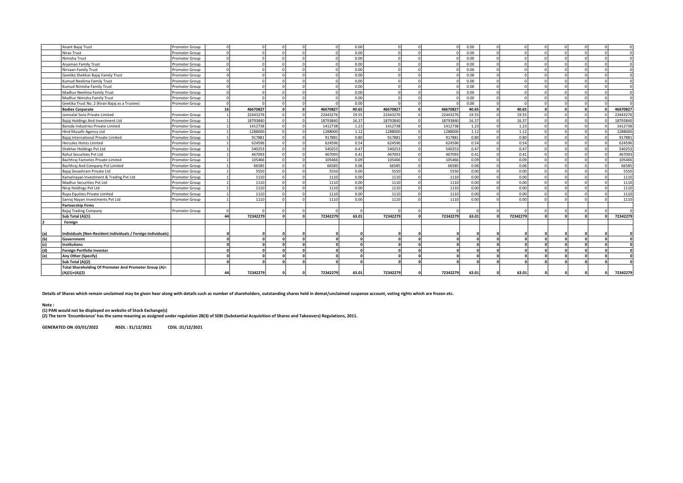|     | Anant Bajaj Trust                                            | Promoter Group |    |          |            |          |          | 0.00  |          |          | 0.00     |              |          |          |  |          |
|-----|--------------------------------------------------------------|----------------|----|----------|------------|----------|----------|-------|----------|----------|----------|--------------|----------|----------|--|----------|
|     | Nirav Trust                                                  | Promoter Group |    |          |            |          |          | 0.00  |          |          | 0.00     |              |          |          |  |          |
|     | Nimisha Trust                                                | Promoter Group |    |          |            |          |          | 0.00  |          |          | 0.00     |              |          |          |  |          |
|     | Aryaman Family Trust                                         | Promoter Group |    |          |            |          |          | 0.00  |          |          | 0.00     | $\sqrt{ }$   |          | $\Omega$ |  |          |
|     | Nirvaan Family Trust                                         | Promoter Group |    |          |            |          |          | 0.00  |          |          | 0.00     | $\Omega$     |          | n        |  |          |
|     | Geetika Shekhar Bajaj Family Trust                           | Promoter Group |    |          |            |          |          | 0.00  |          |          | 0.00     | $\Omega$     |          |          |  |          |
|     | Kumud Neelima Family Trust                                   | Promoter Group |    |          |            | $\Omega$ |          | 0.00  |          |          | 0.00     | $\Omega$     |          | n        |  | $\Omega$ |
|     | Kumud Nimisha Family Trust                                   | Promoter Group |    |          |            |          |          | 0.00  |          |          | 0.00     |              |          |          |  |          |
|     | Madhur Neelima Family Trust                                  | Promoter Group |    |          |            |          |          | 0.00  |          |          | 0.00     | $\sqrt{ }$   |          |          |  | $\Omega$ |
|     | Madhur Nimisha Family Trust                                  | Promoter Group |    |          |            |          |          | 0.00  |          |          | 0.00     | $\Omega$     |          |          |  | $\Omega$ |
|     | Geetika Trust No. 2 (Kiran Bajaj as a Trustee)               | Promoter Group |    |          |            | $\Omega$ |          | 0.00  |          |          | $0.00 -$ | $\Omega$     |          |          |  |          |
|     | <b>Bodies Corporate</b>                                      |                | 16 | 46670827 |            | - 0      | 46670827 | 40.65 | 46670827 | 46670827 | 40.65    | $\mathbf{r}$ | 40.65    |          |  | 46670827 |
|     | amnalal Sons Private Limited                                 | Promoter Group |    | 22443276 |            |          | 22443276 | 19.55 | 22443276 | 22443276 | 19.55    |              | 19.55    |          |  | 22443276 |
|     | Bajaj Holdings And Investment Ltd                            | Promoter Group |    | 18793840 |            |          | 18793840 | 16.37 | 18793840 | 18793840 | 16.37    | $\sqrt{ }$   | 16.37    |          |  | 18793840 |
|     | Baroda Industries Private Limited                            | Promoter Group |    | 1412738  | $\sqrt{ }$ | $\Omega$ | 1412738  | 1.23  | 1412738  | 1412738  | 1.23     | $\Omega$     | 1.23     |          |  | 1412738  |
|     | <b>Hind Musafir Agency Ltd</b>                               | Promoter Group |    | 1288000  |            | $\Omega$ | 1288000  | 1.12  | 1288000  | 1288000  | 1.12     | $\Omega$     | 1.12     |          |  | 1288000  |
|     | Baiai International Private Limited                          | Promoter Group |    | 917881   |            | $\Omega$ | 917881   | 0.80  | 917881   | 917881   | 0.80     | $\Omega$     | 0.80     |          |  | 917881   |
|     | Hercules Hoists Limited                                      | Promoter Group |    | 624596   |            |          | 624596   | 0.54  | 624596   | 624596   | 0.54     | $\Omega$     | 0.54     |          |  | 624596   |
|     | Shekhar Holdings Pvt Ltd                                     | Promoter Group |    | 540253   |            |          | 540253   | 0.47  | 540253   | 540253   | 0.47     | $\Omega$     | 0.47     |          |  | 540253   |
|     | Rahul Securities Pvt Ltd                                     | Promoter Group |    | 467093   | $\sqrt{ }$ | $\Omega$ | 467093   | 0.41  | 467093   | 467093   | 0.41     | $\Omega$     | 0.41     |          |  | 467093   |
|     | Bachhraj Factories Private Limited                           | Promoter Group |    | 105466   | $\Omega$   | $\Omega$ | 105466   | 0.09  | 105466   | 105466   | 0.09     | $\Omega$     | 0.09     |          |  | 105466   |
|     | Bachhraj And Company Pvt Limited                             | Promoter Group |    | 66585    |            |          | 66585    | 0.06  | 66585    | 66585    | 0.06     | $\sqrt{ }$   | 0.06     |          |  | 66585    |
|     | Bajaj Sevashram Private Ltd                                  | Promoter Group |    | 5550     |            |          | 5550     | 0.00  | 5550     | 5550     | 0.00     | $\Omega$     | 0.00     |          |  | 5550     |
|     | Kamalnayan Investment & Trading Pvt Ltd                      | Promoter Group |    | 1110     |            |          | 1110     | 0.00  | 1110     | 1110     | 0.00     | $\Omega$     | 0.00     |          |  | 1110     |
|     | Madhur Securities Pvt Ltd                                    | Promoter Group |    | 1110     |            | $\Omega$ | 1110     | 0.00  | 1110     | 1110     | 0.00     | $\Omega$     | 0.00     |          |  | 1110     |
|     | Niraj Holdings Pvt Ltd                                       | Promoter Group |    | 1110     |            | $\Omega$ | 1110     | 0.00  | 1110     | 1110     | 0.00     | $\Omega$     | 0.00     |          |  | 1110     |
|     | Rupa Equities Private Limited                                | Promoter Group |    | 1110     |            | $\Omega$ | 1110     | 0.00  | 1110     | 1110     | 0.00     | $\Omega$     | 0.00     |          |  | 1110     |
|     | Sanraj Nayan Investments Pvt Ltd                             | Promoter Group |    | 1110     |            | $\Omega$ | 1110     | 0.00  | 1110     | 1110     | 0.00     | $\Omega$     | 0.00     | $\Omega$ |  | 1110     |
|     | <b>Partnership Firms</b>                                     |                |    |          |            |          |          |       |          |          |          |              |          |          |  |          |
|     | <b>Bajaj Trading Company</b>                                 | Promoter Group |    |          |            | $\Omega$ |          |       |          |          |          |              |          |          |  |          |
|     | Sub Total (A)(1)                                             |                | 44 | 72342279 |            |          | 72342279 | 63.01 | 72342279 | 72342279 | 63.01    |              | 72342279 |          |  | 72342279 |
|     | Foreign                                                      |                |    |          |            |          |          |       |          |          |          |              |          |          |  |          |
|     |                                                              |                |    |          |            |          |          |       |          |          |          |              |          |          |  |          |
| (a) | Individuals (Non-Resident Individuals / Foreign Individuals) |                |    |          |            |          |          |       |          |          |          |              |          |          |  |          |
| (b) | Government                                                   |                |    |          |            |          |          |       |          |          |          |              |          |          |  | $\Omega$ |
| (c) | <b>Institutions</b>                                          |                |    |          |            |          |          |       |          |          |          |              |          |          |  |          |
| (d) | <b>Foreign Portfolio Investor</b>                            |                |    |          |            | n        |          |       |          |          |          |              |          |          |  |          |
| (e) | Any Other (Specify)                                          |                |    |          |            |          |          |       |          |          |          |              |          |          |  |          |
|     | Sub Total (A)(2)                                             |                |    |          |            |          |          |       |          |          |          |              |          |          |  |          |
|     | Total Shareholding Of Promoter And Promoter Group (A)=       |                |    |          |            |          |          |       |          |          |          |              |          |          |  |          |
|     | $(A)(1)+(A)(2)$                                              |                | 44 | 72342279 |            |          | 72342279 | 63.01 | 72342279 | 72342279 | 63.01    |              | 63.01    |          |  | 72342279 |
|     |                                                              |                |    |          |            |          |          |       |          |          |          |              |          |          |  |          |

**Details of Shares which remain unclaimed may be given hear along with details such as number of shareholders, outstanding shares held in demat/unclaimed suspense account, voting rights which are frozen etc.**

Note :<br>(1) PAN would not be displayed on website of Stock Exchange(s)<br>(2) The term 'Encumbrance' has the same meaning as assigned under regulation 28(3) of SEBI (Substantial Acquisition of Shares and Takeovers) Regulations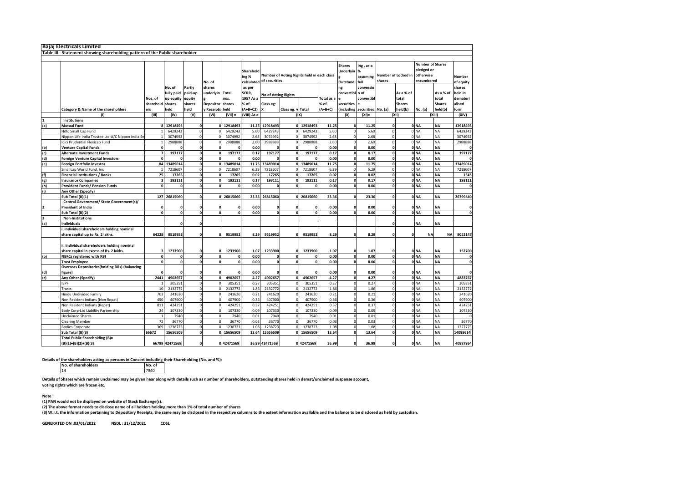|     | <b>Bajaj Electricals Limited</b>                                             |           |                |              |                         |              |                    |                            |                      |                                            |            |                                         |                                       |                      |                     |                                                                  |                     |              |
|-----|------------------------------------------------------------------------------|-----------|----------------|--------------|-------------------------|--------------|--------------------|----------------------------|----------------------|--------------------------------------------|------------|-----------------------------------------|---------------------------------------|----------------------|---------------------|------------------------------------------------------------------|---------------------|--------------|
|     | Table III - Statement showing shareholding pattern of the Public shareholder |           |                |              |                         |              |                    |                            |                      |                                            |            |                                         |                                       |                      |                     |                                                                  |                     |              |
|     |                                                                              |           |                |              |                         |              |                    |                            |                      |                                            |            |                                         |                                       |                      |                     |                                                                  |                     |              |
|     |                                                                              |           |                |              | No. of                  |              | Sharehold<br>ing % | calculated of securities   |                      | Number of Voting Rights held in each class |            | <b>Shares</b><br>Underlyin<br>Outstandi | ing, as a<br>$\%$<br>assuming<br>full | shares               | Number of Locked in | <b>Number of Shares</b><br>pledged or<br>otherwise<br>encumbered | Number<br>of equity |              |
|     |                                                                              |           | No. of         | Partly       | shares                  |              | as per             |                            |                      |                                            | ng         | conversio                               |                                       |                      |                     |                                                                  | shares              |              |
|     |                                                                              |           | fully paid     | paid-up      | underlyin               | <b>Total</b> | SCRR,              |                            |                      | convertibl n of                            |            |                                         | As a % of                             |                      | As a % of           | held in                                                          |                     |              |
|     |                                                                              | Nos. of   | up equity      | equity       |                         | nos.         | 1957 As a          | <b>No of Voting Rights</b> |                      |                                            | Total as a |                                         | convertibl                            |                      | total               |                                                                  | total               | demateri     |
|     |                                                                              | sharehold | shares         | shares       | <b>Depositor</b>        | shares       | % of               | Class eg:                  |                      |                                            | % of       | securities                              |                                       |                      | <b>Shares</b>       |                                                                  | <b>Shares</b>       | alised       |
|     | Category & Name of the shareholders                                          | ers       | held           | held         | y Receipts held         |              | $(A+B+C2)$         |                            | Class eg: y Total    |                                            | $(A+B+C)$  | including                               | securities No. (a)                    |                      | held(b)             | No. (a)                                                          | held(b)             | form         |
|     | (1)                                                                          | (III)     | (IV)           | (V)          | (VI)                    | $(VII) =$    | (VIII) As a        |                            |                      | (IX)                                       |            | (X)                                     | $(XI) =$                              |                      | (XII)               |                                                                  | (XIII)              | (XIV)        |
|     | Institutions                                                                 |           |                |              |                         |              |                    |                            |                      |                                            |            |                                         |                                       |                      |                     |                                                                  |                     |              |
| (a) | <b>Mutual Fund</b>                                                           |           | 12918493       |              |                         | 12918493     | 11.25              | 12918493                   |                      | 12918493                                   | 11.25      | $\mathbf{0}$                            | 11.25                                 | n                    |                     | 0 <sub>NA</sub>                                                  | <b>NA</b>           | 12918493     |
|     | Hdfc Small Cap Fund                                                          |           | 6429243        |              |                         | 6429243      | 5.60               | 6429243                    |                      | 6429243                                    | 5.60       | $\Omega$                                | 5.60                                  | $\Omega$             |                     | 0 <sub>NA</sub>                                                  | <b>NA</b>           | 6429243      |
|     | Nippon Life India Trustee Ltd-A/C Nippon India Sı                            |           | 3074992        |              | $\Omega$                | 3074992      | 2.68               | 3074992                    | $\Omega$             | 3074992                                    | 2.68       | $\mathbf 0$                             | 2.68                                  | $\circ$              |                     | 0 NA                                                             | <b>NA</b>           | 3074992      |
|     | Icici Prudential Flexicap Fund                                               |           | 2988888        |              | $\mathbf 0$             | 2988888      | 2.60               | 2988888                    | $\Omega$             | 2988888                                    | 2.60       | $\Omega$                                | 2.60                                  | $\Omega$             |                     | 0 <sub>NA</sub>                                                  | <b>NA</b>           | 2988888      |
| (b) | <b>Venture Capital Funds</b>                                                 |           |                |              | $\mathbf{0}$            |              | 0.00               |                            | $\mathbf{0}$         |                                            | 0.00       | $\mathbf 0$                             | 0.00                                  | O                    |                     | 0 <sub>NA</sub>                                                  | <b>NA</b>           |              |
| (c) | <b>Alternate Investment Funds</b>                                            |           | 197177         |              | $\mathbf{0}$            | 197177       | 0.17               | 197177                     | o                    | 197177                                     | 0.17       | $\mathbf 0$                             | 0.17                                  | <sub>0</sub>         |                     | 0 <sub>NA</sub>                                                  | <b>NA</b>           | 197177       |
| (d) | <b>Foreign Venture Capital Investors</b>                                     | O         | n              |              | $\mathbf 0$             | 0            | 0.00               | $\mathbf 0$                | $\mathbf{0}$         |                                            | 0.00       | $\mathbf 0$                             | 0.00                                  | 0                    |                     | 0 <sub>NA</sub>                                                  | <b>NA</b>           |              |
| (e) | Foreign Portfolio Investor                                                   | 84        | 13489014       |              |                         | 0 13489014   | 11.75              | 13489014                   |                      | ٥I<br>13489014                             | 11.75      | $\mathbf{o}$                            | 11.75                                 | n                    |                     | 0 <sub>NA</sub>                                                  | <b>NA</b>           | 13489014     |
|     | Smallcap World Fund, Inc                                                     |           | 7218607        |              | $\Omega$                | 7218607      | 6.29               | 7218607                    | $\circ$              | 7218607                                    | 6.29       | $\mathbf 0$                             | 6.29                                  | $\circ$              |                     | 0 NA                                                             | <b>NA</b>           | 7218607      |
| (f) | <b>Financial Institutions / Banks</b>                                        | 25        | 17265          |              | $\mathbf{0}$            | 17265        | 0.02               | 17265                      | $\Omega$             | 17265                                      | 0.02       | $\mathbf 0$                             | 0.02                                  | <sub>0</sub>         |                     | 0 <sub>NA</sub>                                                  | <b>NA</b>           | 1545         |
| (g) | <b>Insurance Companies</b>                                                   |           | 193111         |              | $\Omega$                | 193111       | 0.17               | 193111                     | $\Omega$             | 193111                                     | 0.17       | $\mathbf 0$                             | 0.17                                  | $\Omega$             |                     | 0 <sub>NA</sub>                                                  | <b>NA</b>           | 193111       |
| (h) | <b>Provident Funds/ Pension Funds</b>                                        | C         | $\Omega$       |              | $\mathbf{o}$            | O            | 0.00               | $\mathbf 0$                | $\Omega$             |                                            | 0.00       | $\mathbf{o}$                            | 0.00                                  | <sub>0</sub>         |                     | 0 <sub>NA</sub>                                                  | <b>NA</b>           | $\Omega$     |
|     | Any Other (Specify)                                                          |           |                |              |                         |              |                    |                            |                      |                                            |            |                                         |                                       |                      |                     |                                                                  |                     |              |
|     | Sub Total (B)(1)                                                             |           | 127 26815060   |              |                         | 0 26815060   | 23.36              | 26815060                   |                      | 0 26815060                                 | 23.36      | $\mathbf{0}$                            | 23.36                                 | n                    |                     | 0 <sub>NA</sub>                                                  | <b>NA</b>           | 26799340     |
|     | Central Government/ State Government(s)/                                     |           |                |              |                         |              |                    |                            |                      |                                            |            |                                         |                                       |                      |                     |                                                                  |                     |              |
|     | <b>President of India</b>                                                    | 0         | O              |              | $\Omega$                | $\Omega$     | 0.00               | $\mathbf 0$                |                      |                                            | 0.00       | $\mathbf 0$                             | 0.00                                  |                      |                     | 0 <sub>NA</sub>                                                  | <b>NA</b>           | $\mathbf{0}$ |
|     | Sub Total (B)(2)                                                             | $\Omega$  | $\mathbf 0$    |              | $\mathbf{o}$            | n            | 0.00               | $\mathbf{o}$               | $\Omega$             |                                            | 0.00       |                                         | 0.00                                  | n                    |                     | 0 <sub>NA</sub>                                                  | <b>NA</b>           | $\mathbf{0}$ |
|     | <b>Non-Institutions</b>                                                      |           |                |              |                         |              |                    |                            |                      |                                            |            |                                         |                                       |                      |                     |                                                                  |                     |              |
| (a) | Individuals                                                                  |           | $\mathbf{0}$   | $\mathbf{0}$ |                         |              |                    |                            |                      |                                            |            |                                         |                                       | $\Omega$             |                     | <b>NA</b>                                                        | <b>NA</b>           |              |
|     | . Individual shareholders holding nominal                                    |           |                |              |                         |              |                    |                            |                      |                                            |            |                                         |                                       |                      |                     |                                                                  |                     |              |
|     | share capital up to Rs. 2 lakhs.                                             | 64228     | 9519952        |              | $\Omega$                | 9519952      | 8.29               | 9519952                    |                      | 9519952                                    | 8.29       | $\mathbf 0$                             | 8.29                                  |                      | C                   | <b>NA</b>                                                        | <b>NA</b>           | 9052147      |
|     | ii. Individual shareholders holding nominal                                  |           |                |              |                         |              |                    |                            |                      |                                            |            |                                         |                                       |                      |                     |                                                                  |                     |              |
|     | share capital in excess of Rs. 2 lakhs.                                      | з         | 1233900        |              | $\Omega$                | 1233900      | 1.07               | 1233900                    |                      | 1233900                                    | 1.07       | $\mathbf 0$                             | 1.07                                  |                      |                     | 0 <sub>NA</sub>                                                  | <b>NA</b>           | 152700       |
| (b) | <b>NBFCs registered with RBI</b>                                             | $\Omega$  | $\mathbf{0}$   |              | $\mathbf{o}$            | $\mathbf{0}$ | 0.00               | $\mathbf{0}$               | $\mathbf{0}$         |                                            | 0.00       | $\mathbf 0$                             | 0.00                                  | $\Omega$             |                     | 0 <sub>NA</sub>                                                  | <b>NA</b>           | $\mathbf 0$  |
|     | <b>Trust Employee</b>                                                        | $\Omega$  | $\mathbf 0$    |              | $\mathbf{0}$            | $\Omega$     | 0.00               | $\mathbf 0$                | O                    | $\Omega$                                   | 0.00       | $\mathbf 0$                             | 0.00                                  | 0                    |                     | 0 <sub>NA</sub>                                                  | <b>NA</b>           | $\mathbf{0}$ |
|     | <b>Overseas Depositories (holding DRs) (balancing</b>                        |           |                |              | $\Omega$                | O            |                    |                            | $\Omega$             |                                            |            |                                         |                                       |                      |                     |                                                                  |                     |              |
| (d) | figure)                                                                      |           |                |              |                         |              | 0.00               | $\Omega$                   |                      |                                            | 0.00       | $\mathbf 0$                             | 0.00                                  |                      |                     | 0 <sub>NA</sub>                                                  | <b>NA</b>           | $\mathbf{0}$ |
| (c) | Any Other (Specify)                                                          | 2441      | 4902657        |              | $\mathbf 0$<br>$\Omega$ | 4902657      | 4.27<br>0.27       | 4902657                    | $\mathbf{0}$         | 4902657                                    | 4.27       | $\pmb{\mathsf{o}}$<br>$\Omega$          | 4.27<br>0.27                          | 0<br>$\Omega$        |                     | 0 <sub>NA</sub><br>0 <sub>NA</sub>                               | <b>NA</b>           | 4883767      |
|     | <b>IEPF</b>                                                                  |           | 305351         |              |                         | 305351       |                    | 305351                     |                      | 305351                                     | 0.27       |                                         |                                       |                      |                     |                                                                  | <b>NA</b>           | 305351       |
|     | Trusts                                                                       | 10        | 2132772        |              | $\Omega$                | 2132772      | 1.86               | 2132772                    | $\mathbf 0$          | 2132772                                    | 1.86       | $\mathbf 0$                             | 1.86                                  | $\Omega$             |                     | 0 <sub>NA</sub>                                                  | <b>NA</b>           | 2132772      |
|     | Hindu Undivided Family                                                       | 703       | 241620         |              | $\Omega$                | 241620       | 0.21               | 241620                     | $\Omega$             | 241620                                     | 0.21       | $\Omega$                                | 0.21                                  | $\Omega$<br>$\Omega$ |                     | 0 <sub>NA</sub>                                                  | <b>NA</b>           | 241620       |
|     | Non Resident Indians (Non Repat)                                             | 450       | 407900         |              |                         | 407900       | 0.36               | 407900                     | $\Omega$             | 407900                                     | 0.36       |                                         | 0.36                                  |                      |                     | 0 <sub>NA</sub>                                                  | <b>NA</b>           | 407900       |
|     | Non Resident Indians (Repat)                                                 | 811       | 424251         |              |                         | 424251       | 0.37               | 424251                     | $\Omega$             | 424251                                     | 0.37       |                                         | 0.37                                  |                      |                     | 0 <sub>NA</sub>                                                  | <b>NA</b>           | 424251       |
|     | Body Corp-Ltd Liability Partnership                                          | 24        | 107330         |              | $\Omega$                | 107330       | 0.09               | 107330                     | $\Omega$             | 107330                                     | 0.09       | $\Omega$                                | 0.09                                  | $\Omega$             |                     | 0 <sub>NA</sub>                                                  | <b>NA</b>           | 107330       |
|     | <b>Unclaimed Shares</b>                                                      |           | 7940           |              | $\mathbf 0$             | 7940         | 0.01               | 7940                       | $\Omega$             | 7940                                       | 0.01       |                                         | 0.01<br>0.03                          | $\Omega$             |                     | 0 NA                                                             | <b>NA</b>           |              |
|     | <b>Clearing Member</b>                                                       | 72        | 36770          |              | $\Omega$<br>$\Omega$    | 36770        | 0.03               | 36770                      | $\Omega$<br>$\Omega$ | 36770                                      | 0.03       | $\Omega$                                |                                       |                      |                     | 0 NA                                                             | <b>NA</b>           | 36770        |
|     | <b>Bodies Corporate</b>                                                      | 369       | 1238723        |              |                         | 1238723      | 1.08               | 1238723                    |                      | 1238723                                    | 1.08       |                                         | 1.08                                  | $\Omega$             |                     | 0 <sub>NA</sub>                                                  | <b>NA</b>           | 1227773      |
|     | Sub Total (B)(3)                                                             | 66672     | 15656509       |              |                         | 0 15656509   | 13.64              | 15656509                   |                      | 0 15656509                                 | 13.64      | $\mathbf 0$                             | 13.64                                 | 0                    |                     | 0 <sub>NA</sub>                                                  | <b>NA</b>           | 14088614     |
|     | <b>Total Public Shareholding (B)=</b><br>$(B)(1)+(B)(2)+(B)(3)$              |           | 66799 42471569 |              |                         | 0 42471569   |                    | 36.99 42471569             |                      | 042471569                                  | 36.99      | $\mathbf{0}$                            | 36.99                                 | O                    |                     | 0 <sub>NA</sub>                                                  | <b>NA</b>           | 40887954     |

**Details of the shareholders acting as persons in Concert including their Shareholding (No. and %):**

14 7940 **No. of shareholders No. of No. of No. of 14 7940** 

**Details of Shares which remain unclaimed may be given hear along with details such as number of shareholders, outstanding shares held in demat/unclaimed suspense account, voting rights which are frozen etc.**

**Note :**

**(1) PAN would not be displayed on website of Stock Exchange(s).** 

**(2) The above format needs to disclose name of all holders holding more than 1% of total number of shares**

(3) W.r.t. the information pertaining to Depository Receipts, the same may be disclosed in the respective columns to the extent information available and the balance to be disclosed as held by custodian.